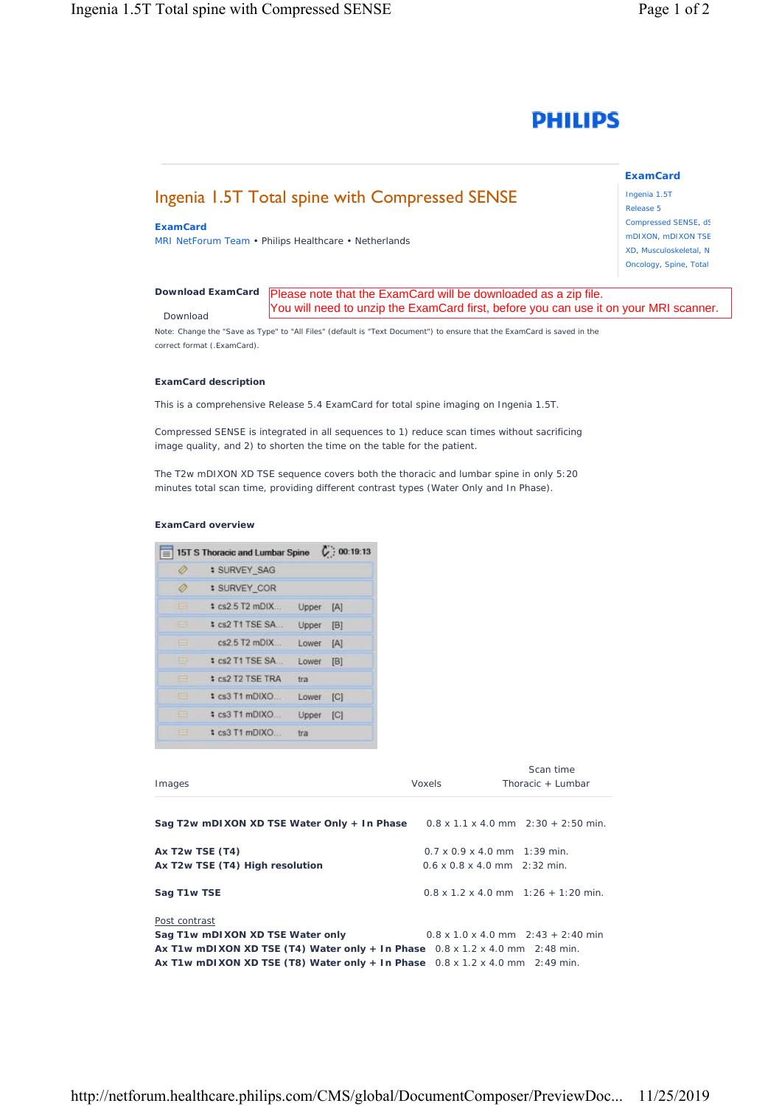

# Ingenia 1.5T Total spine with Compressed SENSE

# **ExamCard**

MRI NetForum Team • Philips Healthcare • Netherlands

Ingenia 1.5T Release 5 Compressed SENSE, dS mDIXON, mDIXON TSE XD, Musculoskeletal, N Oncology, Spine, Total

**ExamCard** 

#### *[Download ExamCard](https://www.philips.com/c-dam/b2bhc/master/sites/netforum/zips/15t-s-thoracic-and-lumbar-spine.zip)* Please note that the ExamCard will be downloaded as a zip file. Download You will need to unzip the ExamCard first, before you can use it on your MRI scanner.

Note: Change the "Save as Type" to "All Files" (default is "Text Document") to ensure that the ExamCard is saved in the correct format (.ExamCard).

### **ExamCard description**

This is a comprehensive Release 5.4 ExamCard for total spine imaging on Ingenia 1.5T.

Compressed SENSE is integrated in all sequences to 1) reduce scan times without sacrificing image quality, and 2) to shorten the time on the table for the patient.

The T2w mDIXON XD TSE sequence covers both the thoracic and lumbar spine in only 5:20 minutes total scan time, providing different contrast types (Water Only and In Phase).

## **ExamCard overview**

|                   | 15T S Thoracic and Lumbar Spine (: 00:19:13 |           |     |
|-------------------|---------------------------------------------|-----------|-----|
| B                 | <b>: SURVEY SAG</b>                         |           |     |
|                   | : SURVEY COR                                |           |     |
| $\longrightarrow$ | $sc25$ T <sub>2</sub> mDIX                  | Upper [A] |     |
| 中国                | : cs2 T1 TSE SA                             | Upper [B] |     |
| ⊟                 | $cs2.5$ T2 mDIX                             | Lower     | [A] |
| ⊟                 | : cs2 T1 TSE SA                             | Lower [B] |     |
| E                 | # cs2 T2 TSE TRA                            | tra       |     |
| 珊                 | : cs3 T1 mDIXO                              | Lower     | C   |
| $\equiv$          | : cs3 T1 mDIXO                              | Upper [C] |     |
| m                 | $s$ cs3 T1 mDIXO                            | tra       |     |
|                   |                                             |           |     |

| Images                                                                                        | Voxels                                     | Scan time<br>Thoracic $+$ Lumbar                  |
|-----------------------------------------------------------------------------------------------|--------------------------------------------|---------------------------------------------------|
|                                                                                               |                                            |                                                   |
| Sag T2w mDIXON XD TSE Water Only + In Phase $0.8 \times 1.1 \times 4.0$ mm $2:30 + 2:50$ min. |                                            |                                                   |
| Ax T2w TSE (T4)                                                                               | $0.7 \times 0.9 \times 4.0$ mm 1:39 min.   |                                                   |
| Ax T2w TSE (T4) High resolution                                                               | $0.6 \times 0.8 \times 4.0$ mm $2:32$ min. |                                                   |
| Sag T1w TSE                                                                                   |                                            | $0.8 \times 1.2 \times 4.0$ mm $1:26 + 1:20$ min. |
| Post contrast                                                                                 |                                            |                                                   |
| Sag T1w mDIXON XD TSE Water only                                                              |                                            | $0.8 \times 1.0 \times 4.0$ mm $2:43 + 2:40$ min  |
| Ax T1w mDIXON XD TSE (T4) Water only + In Phase $0.8 \times 1.2 \times 4.0$ mm $2:48$ min.    |                                            |                                                   |
| Ax T1w mDIXON XD TSE (T8) Water only + In Phase $0.8 \times 1.2 \times 4.0$ mm $2:49$ min.    |                                            |                                                   |